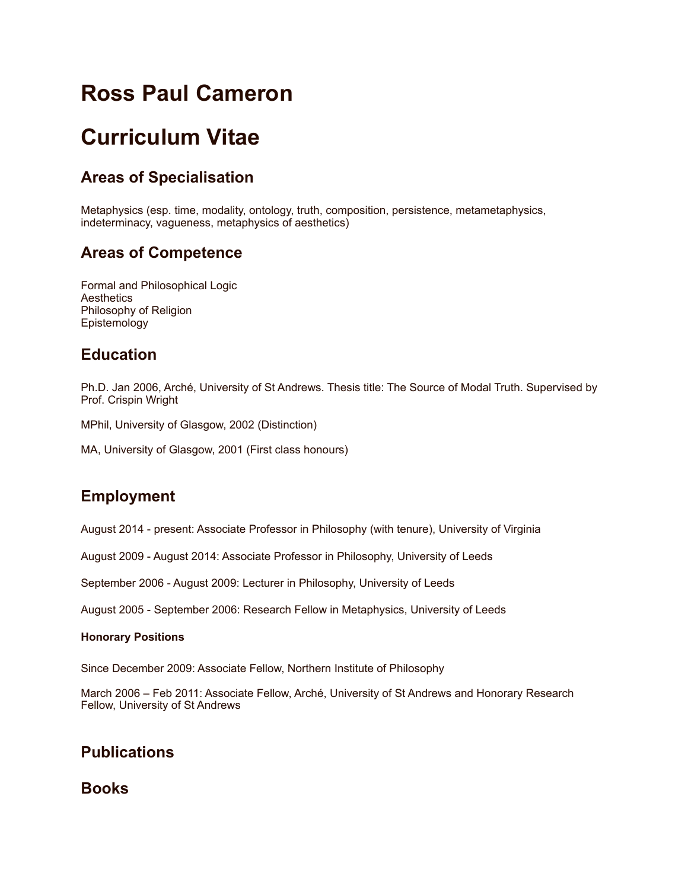# **Ross Paul Cameron**

# **Curriculum Vitae**

# **Areas of Specialisation**

Metaphysics (esp. time, modality, ontology, truth, composition, persistence, metametaphysics, indeterminacy, vagueness, metaphysics of aesthetics)

# **Areas of Competence**

Formal and Philosophical Logic **Aesthetics** Philosophy of Religion Epistemology

## **Education**

Ph.D. Jan 2006, Arché, University of St Andrews. Thesis title: The Source of Modal Truth. Supervised by Prof. Crispin Wright

MPhil, University of Glasgow, 2002 (Distinction)

MA, University of Glasgow, 2001 (First class honours)

# **Employment**

August 2014 - present: Associate Professor in Philosophy (with tenure), University of Virginia

August 2009 - August 2014: Associate Professor in Philosophy, University of Leeds

September 2006 - August 2009: Lecturer in Philosophy, University of Leeds

August 2005 - September 2006: Research Fellow in Metaphysics, University of Leeds

#### **Honorary Positions**

Since December 2009: Associate Fellow, Northern Institute of Philosophy

March 2006 – Feb 2011: Associate Fellow, Arché, University of St Andrews and Honorary Research Fellow, University of St Andrews

# **Publications**

**Books**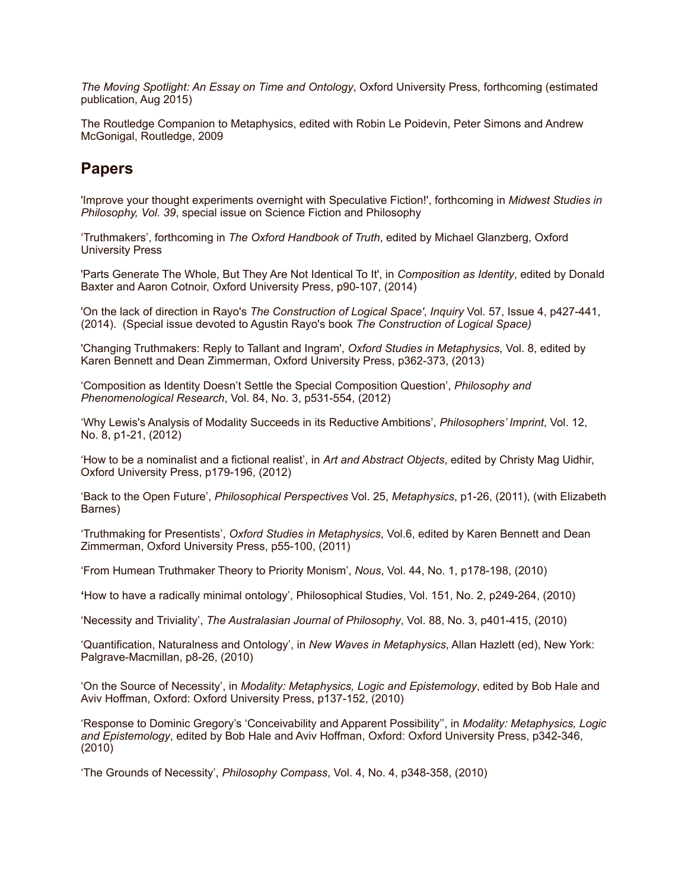*The Moving Spotlight: An Essay on Time and Ontology*, Oxford University Press, forthcoming (estimated publication, Aug 2015)

The Routledge Companion to Metaphysics, edited with Robin Le Poidevin, Peter Simons and Andrew McGonigal, Routledge, 2009

#### **Papers**

'Improve your thought experiments overnight with Speculative Fiction!', forthcoming in *Midwest Studies in Philosophy, Vol. 39*, special issue on Science Fiction and Philosophy

'Truthmakers', forthcoming in *The Oxford Handbook of Truth*, edited by Michael Glanzberg, Oxford University Press

'Parts Generate The Whole, But They Are Not Identical To It', in *Composition as Identity*, edited by Donald Baxter and Aaron Cotnoir, Oxford University Press, p90-107, (2014)

'On the lack of direction in Rayo's *The Construction of Logical Space'*, *Inquiry* Vol. 57, Issue 4, p427-441, (2014). (Special issue devoted to Agustin Rayo's book *The Construction of Logical Space)*

'Changing Truthmakers: Reply to Tallant and Ingram', *Oxford Studies in Metaphysics*, Vol. 8, edited by Karen Bennett and Dean Zimmerman, Oxford University Press, p362-373, (2013)

'Composition as Identity Doesn't Settle the Special Composition Question', *Philosophy and Phenomenological Research*, Vol. 84, No. 3, p531-554, (2012)

'Why Lewis's Analysis of Modality Succeeds in its Reductive Ambitions', *Philosophers' Imprint*, Vol. 12, No. 8, p1-21, (2012)

'How to be a nominalist and a fictional realist', in *Art and Abstract Objects*, edited by Christy Mag Uidhir, Oxford University Press, p179-196, (2012)

'Back to the Open Future', *Philosophical Perspectives* Vol. 25, *Metaphysics*, p1-26, (2011), (with Elizabeth Barnes)

'Truthmaking for Presentists', *Oxford Studies in Metaphysics*, Vol.6, edited by Karen Bennett and Dean Zimmerman, Oxford University Press, p55-100, (2011)

'From Humean Truthmaker Theory to Priority Monism', *Nous*, Vol. 44, No. 1, p178-198, (2010)

**'**How to have a radically minimal ontology', Philosophical Studies, Vol. 151, No. 2, p249-264, (2010)

'Necessity and Triviality', *The Australasian Journal of Philosophy*, Vol. 88, No. 3, p401-415, (2010)

'Quantification, Naturalness and Ontology', in *New Waves in Metaphysics*, Allan Hazlett (ed), New York: Palgrave-Macmillan, p8-26, (2010)

'On the Source of Necessity', in *Modality: Metaphysics, Logic and Epistemology*, edited by Bob Hale and Aviv Hoffman, Oxford: Oxford University Press, p137-152, (2010)

'Response to Dominic Gregory's 'Conceivability and Apparent Possibility'', in *Modality: Metaphysics, Logic and Epistemology*, edited by Bob Hale and Aviv Hoffman, Oxford: Oxford University Press, p342-346, (2010)

'The Grounds of Necessity', *Philosophy Compass*, Vol. 4, No. 4, p348-358, (2010)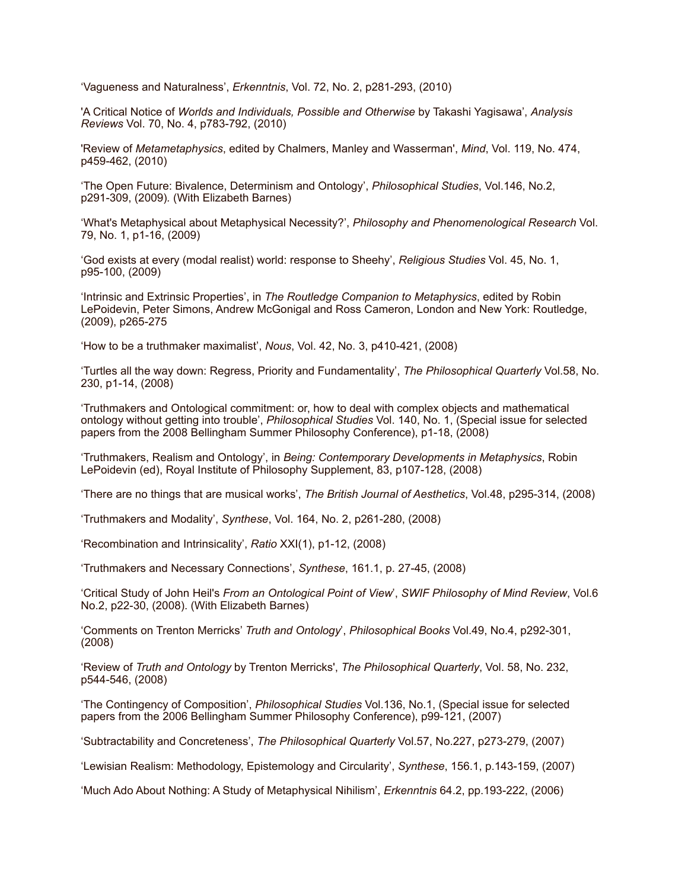'Vagueness and Naturalness', *Erkenntnis*, Vol. 72, No. 2, p281-293, (2010)

'A Critical Notice of *Worlds and Individuals, Possible and Otherwise* by Takashi Yagisawa', *Analysis Reviews* Vol. 70, No. 4, p783-792, (2010)

'Review of *Metametaphysics*, edited by Chalmers, Manley and Wasserman', *Mind*, Vol. 119, No. 474, p459-462, (2010)

'The Open Future: Bivalence, Determinism and Ontology', *Philosophical Studies*, Vol.146, No.2, p291-309, (2009)*.* (With Elizabeth Barnes)

'What's Metaphysical about Metaphysical Necessity?', *Philosophy and Phenomenological Research* Vol. 79, No. 1, p1-16, (2009)

'God exists at every (modal realist) world: response to Sheehy', *Religious Studies* Vol. 45, No. 1, p95-100, (2009)

'Intrinsic and Extrinsic Properties', in *The Routledge Companion to Metaphysics*, edited by Robin LePoidevin, Peter Simons, Andrew McGonigal and Ross Cameron, London and New York: Routledge, (2009), p265-275

'How to be a truthmaker maximalist', *Nous*, Vol. 42, No. 3, p410-421, (2008)

'Turtles all the way down: Regress, Priority and Fundamentality', *The Philosophical Quarterly* Vol.58, No. 230, p1-14, (2008)

'Truthmakers and Ontological commitment: or, how to deal with complex objects and mathematical ontology without getting into trouble', *Philosophical Studies* Vol. 140, No. 1, (Special issue for selected papers from the 2008 Bellingham Summer Philosophy Conference), p1-18, (2008)

'Truthmakers, Realism and Ontology', in *Being: Contemporary Developments in Metaphysics*, Robin LePoidevin (ed), Royal Institute of Philosophy Supplement, 83, p107-128, (2008)

'There are no things that are musical works', *The British Journal of Aesthetics*, Vol.48, p295-314, (2008)

'Truthmakers and Modality', *Synthese*, Vol. 164, No. 2, p261-280, (2008)

'Recombination and Intrinsicality', *Ratio* XXI(1), p1-12, (2008)

'Truthmakers and Necessary Connections', *Synthese*, 161.1, p. 27-45, (2008)

'Critical Study of John Heil's *From an Ontological Point of View*', *SWIF Philosophy of Mind Review*, Vol.6 No.2, p22-30, (2008). (With Elizabeth Barnes)

'Comments on Trenton Merricks' *Truth and Ontology*', *Philosophical Books* Vol.49, No.4, p292-301, (2008)

'Review of *Truth and Ontology* by Trenton Merricks', *The Philosophical Quarterly*, Vol. 58, No. 232, p544-546, (2008)

'The Contingency of Composition', *Philosophical Studies* Vol.136, No.1, (Special issue for selected papers from the 2006 Bellingham Summer Philosophy Conference), p99-121, (2007)

'Subtractability and Concreteness', *The Philosophical Quarterly* Vol.57, No.227, p273-279, (2007)

'Lewisian Realism: Methodology, Epistemology and Circularity', *Synthese*, 156.1, p.143-159, (2007)

'Much Ado About Nothing: A Study of Metaphysical Nihilism', *Erkenntnis* 64.2, pp.193-222, (2006)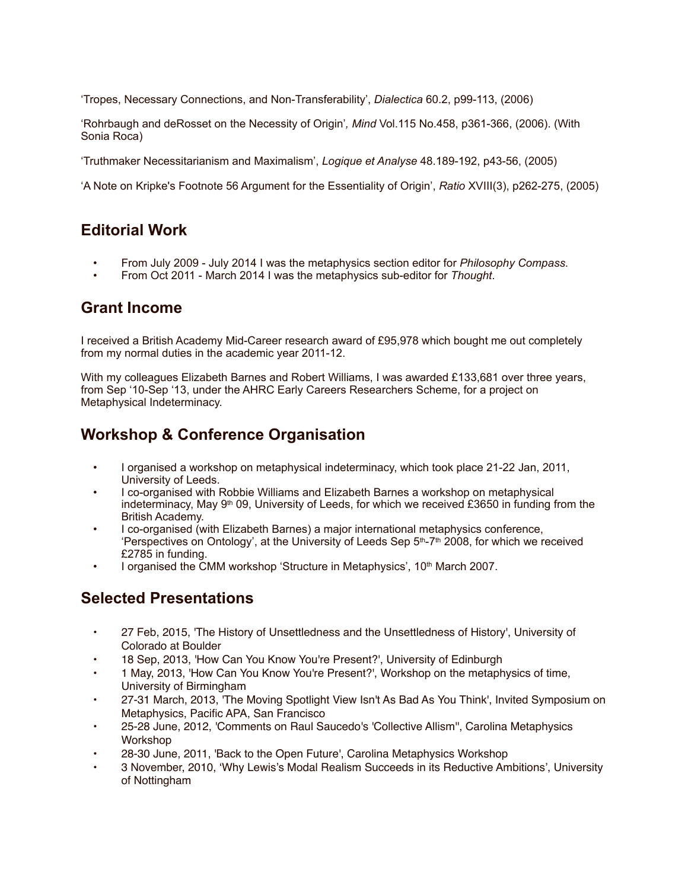'Tropes, Necessary Connections, and Non-Transferability', *Dialectica* 60.2, p99-113, (2006)

'Rohrbaugh and deRosset on the Necessity of Origin'*, Mind* Vol.115 No.458, p361-366, (2006). (With Sonia Roca)

'Truthmaker Necessitarianism and Maximalism', *Logique et Analyse* 48.189-192, p43-56, (2005)

'A Note on Kripke's Footnote 56 Argument for the Essentiality of Origin', *Ratio* XVIII(3), p262-275, (2005)

#### **Editorial Work**

- From July 2009 July 2014 I was the metaphysics section editor for *Philosophy Compass*.
- From Oct 2011 March 2014 I was the metaphysics sub-editor for *Thought*.

#### **Grant Income**

I received a British Academy Mid-Career research award of £95,978 which bought me out completely from my normal duties in the academic year 2011-12.

With my colleagues Elizabeth Barnes and Robert Williams, I was awarded £133,681 over three years, from Sep '10-Sep '13, under the AHRC Early Careers Researchers Scheme, for a project on Metaphysical Indeterminacy.

### **Workshop & Conference Organisation**

- I organised a workshop on metaphysical indeterminacy, which took place 21-22 Jan, 2011, University of Leeds.
- I co-organised with Robbie Williams and Elizabeth Barnes a workshop on metaphysical indeterminacy, May  $9<sup>th</sup>$  09, University of Leeds, for which we received £3650 in funding from the British Academy.
- I co-organised (with Elizabeth Barnes) a major international metaphysics conference, 'Perspectives on Ontology', at the University of Leeds Sep  $5<sup>th</sup>-7<sup>th</sup>$  2008, for which we received £2785 in funding.
- I organised the CMM workshop 'Structure in Metaphysics',  $10<sup>th</sup>$  March 2007.

## **Selected Presentations**

- 27 Feb, 2015, 'The History of Unsettledness and the Unsettledness of History', University of Colorado at Boulder
- 18 Sep, 2013, 'How Can You Know You're Present?', University of Edinburgh
- 1 May, 2013, 'How Can You Know You're Present?', Workshop on the metaphysics of time, University of Birmingham
- 27-31 March, 2013, 'The Moving Spotlight View Isn't As Bad As You Think', Invited Symposium on Metaphysics, Pacific APA, San Francisco
- 25-28 June, 2012, 'Comments on Raul Saucedo's 'Collective Allism'', Carolina Metaphysics Workshop
- 28-30 June, 2011, 'Back to the Open Future', Carolina Metaphysics Workshop
- 3 November, 2010, 'Why Lewis's Modal Realism Succeeds in its Reductive Ambitions', University of Nottingham